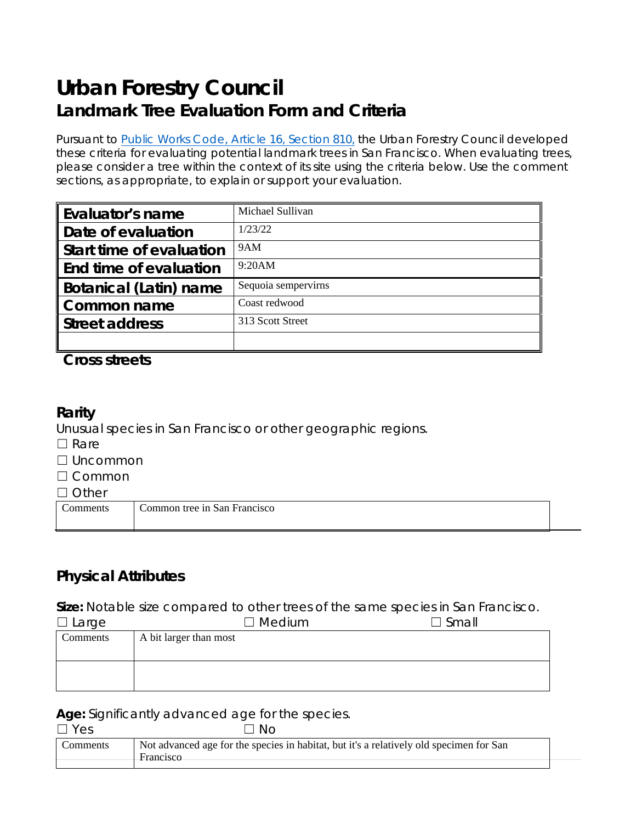# **Urban Forestry Council Landmark Tree Evaluation Form and Criteria**

Pursuant to [Public Works Code, Article 16, Section 810,](https://codelibrary.amlegal.com/codes/san_francisco/latest/sf_publicworks/0-0-0-4204) the Urban Forestry Council developed these criteria for evaluating potential landmark trees in San Francisco. When evaluating trees, please consider a tree within the context of its site using the criteria below. Use the comment sections, as appropriate, to explain or support your evaluation.

| Evaluator's name              | Michael Sullivan    |
|-------------------------------|---------------------|
| Date of evaluation            | 1/23/22             |
| Start time of evaluation      | 9AM                 |
| End time of evaluation        | 9:20AM              |
| <b>Botanical (Latin) name</b> | Sequoia sempervirns |
| <b>Common name</b>            | Coast redwood       |
| <b>Street address</b>         | 313 Scott Street    |
|                               |                     |

**Cross streets**

# **Rarity**

Unusual species in San Francisco or other geographic regions.

- ☐ Rare
- ☐ Uncommon
- ☐ Common
- □ Other

Comments Common tree in San Francisco

# **Physical Attributes**

**Size:** Notable size compared to other trees of the same species in San Francisco.

| $\Box$ Large | $\Box$ Medium          | $\Box$ Small |
|--------------|------------------------|--------------|
| Comments     | A bit larger than most |              |
|              |                        |              |
|              |                        |              |
|              |                        |              |

**Age:** Significantly advanced age for the species.

| $\Box$ Yes            | $\Box$ No                                                                                            |  |
|-----------------------|------------------------------------------------------------------------------------------------------|--|
| <sup>1</sup> Comments | Not advanced age for the species in habitat, but it's a relatively old specimen for San<br>Francisco |  |
|                       |                                                                                                      |  |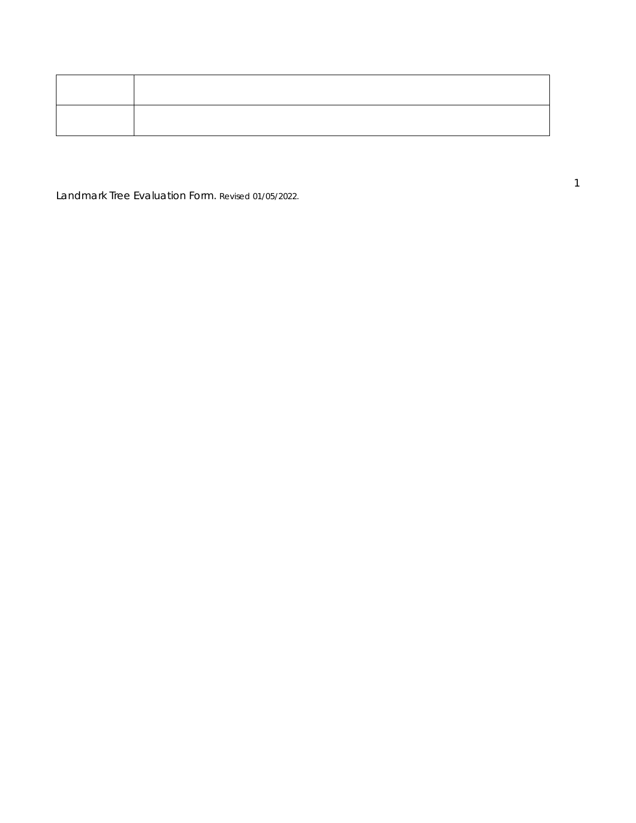Landmark Tree Evaluation Form. Revised 01/05/2022.

1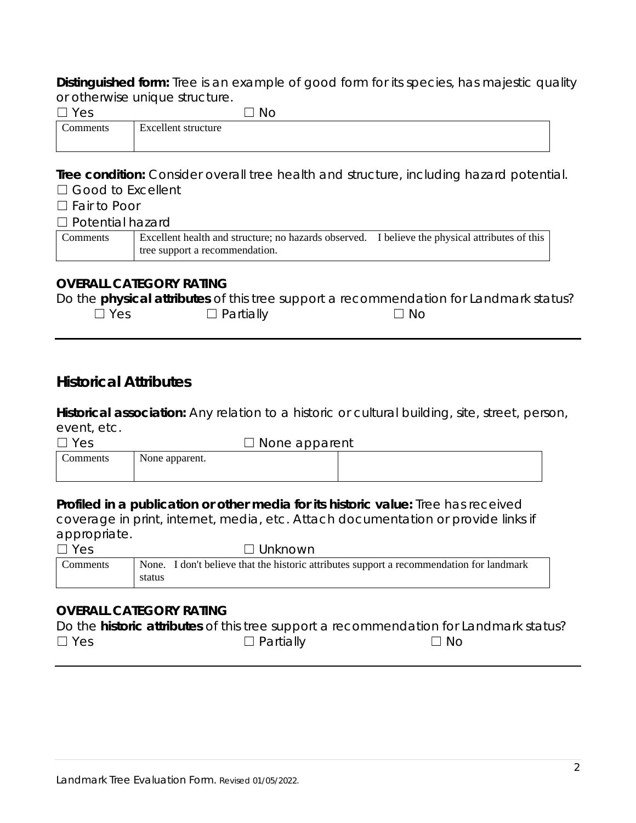**Distinguished form:** Tree is an example of good form for its species, has majestic quality or otherwise unique structure.

| $\exists$ Yes | No                  |
|---------------|---------------------|
| Comments      | Excellent structure |
|               |                     |

**Tree condition:** Consider overall tree health and structure, including hazard potential. □ Good to Excellent

### ☐ Fair to Poor

### ☐ Potential hazard

| Comments <sup>1</sup> | Excellent health and structure; no hazards observed. I believe the physical attributes of this |  |
|-----------------------|------------------------------------------------------------------------------------------------|--|
|                       | tree support a recommendation.                                                                 |  |

### **OVERALL CATEGORY RATING**

|            |                  | Do the physical attributes of this tree support a recommendation for Landmark status? |
|------------|------------------|---------------------------------------------------------------------------------------|
| $\Box$ Yes | $\Box$ Partially | $\Box$ No                                                                             |

# **Historical Attributes**

**Historical association:** Any relation to a historic or cultural building, site, street, person, event, etc.

| $\Box$ Yes | $\Box$ None apparent |  |
|------------|----------------------|--|
| Comments   | None apparent.       |  |

### **Profiled in a publication or other media for its historic value:** Tree has received coverage in print, internet, media, etc. Attach documentation or provide links if

appropriate.

| $\Box$ Yes | $\Box$ Unknown                                                                           |
|------------|------------------------------------------------------------------------------------------|
| Comments   | None. I don't believe that the historic attributes support a recommendation for landmark |
|            | status                                                                                   |

### **OVERALL CATEGORY RATING**

|            | Do the historic attributes of this tree support a recommendation for Landmark status? |           |
|------------|---------------------------------------------------------------------------------------|-----------|
| $\Box$ Yes | $\Box$ Partially                                                                      | $\Box$ No |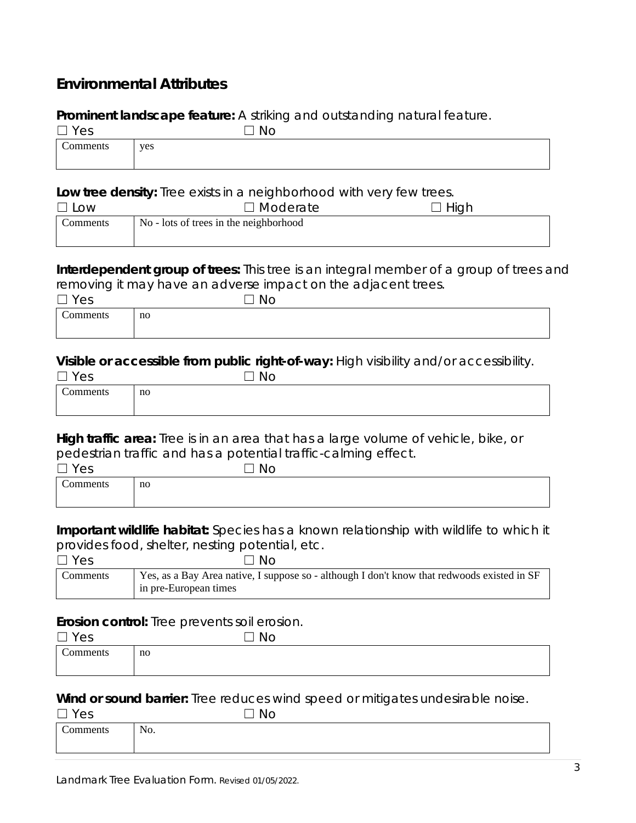# **Environmental Attributes**

#### **Prominent landscape feature:** A striking and outstanding natural feature.

| $\Box$ Yes | $\sqsupset$ No |
|------------|----------------|
| Comments   | yes            |
|            |                |

#### **Low tree density:** Tree exists in a neighborhood with very few trees.

| $\Box$ Low      | $\Box$ Moderate                        | $\Box$ High |
|-----------------|----------------------------------------|-------------|
| <b>Comments</b> | No - lots of trees in the neighborhood |             |

**Interdependent group of trees:** This tree is an integral member of a group of trees and removing it may have an adverse impact on the adjacent trees.

| $\neg$ Yes | No |
|------------|----|
| Comments   | no |
|            |    |

#### **Visible or accessible from public right-of-way:** High visibility and/or accessibility.

| $\Box$ Yes | No |
|------------|----|
| Comments   | no |
|            |    |

**High traffic area:** Tree is in an area that has a large volume of vehicle, bike, or pedestrian traffic and has a potential traffic-calming effect.

| $\Box$<br>Yes | _____<br>___<br><b>No</b> |
|---------------|---------------------------|
| Comments      | no                        |
|               |                           |

**Important wildlife habitat:** Species has a known relationship with wildlife to which it provides food, shelter, nesting potential, etc.

| $\Box$ Yes | ∃ No                                                                                        |
|------------|---------------------------------------------------------------------------------------------|
| Comments   | Yes, as a Bay Area native, I suppose so - although I don't know that redwoods existed in SF |
|            | in pre-European times                                                                       |

### **Erosion control:** Tree prevents soil erosion.

| $\exists$ Yes | . .<br>No |
|---------------|-----------|
| Comments      | no        |
|               |           |

### **Wind or sound barrier:** Tree reduces wind speed or mitigates undesirable noise.

| $\Box$ Yes | No  |
|------------|-----|
| Comments   | No. |